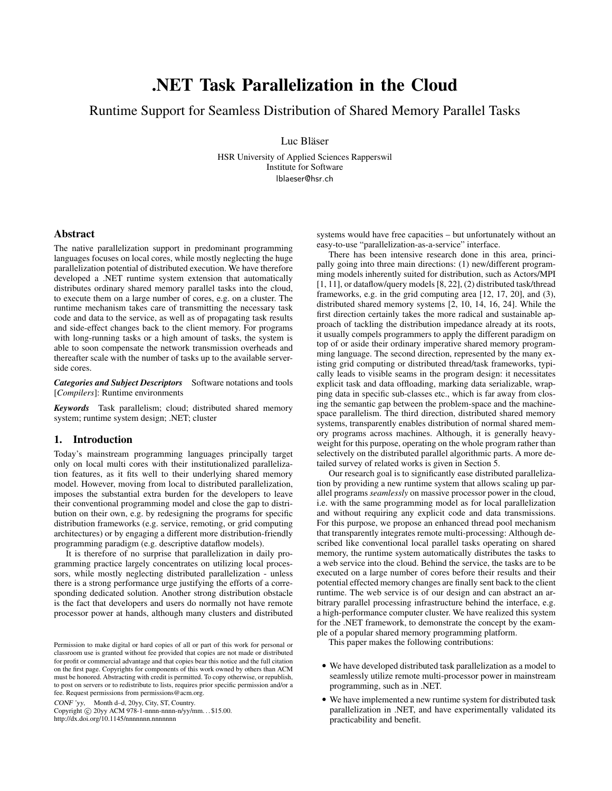# .NET Task Parallelization in the Cloud

Runtime Support for Seamless Distribution of Shared Memory Parallel Tasks

Luc Bläser

HSR University of Applied Sciences Rapperswil Institute for Software lblaeser@hsr.ch

## Abstract

The native parallelization support in predominant programming languages focuses on local cores, while mostly neglecting the huge parallelization potential of distributed execution. We have therefore developed a .NET runtime system extension that automatically distributes ordinary shared memory parallel tasks into the cloud, to execute them on a large number of cores, e.g. on a cluster. The runtime mechanism takes care of transmitting the necessary task code and data to the service, as well as of propagating task results and side-effect changes back to the client memory. For programs with long-running tasks or a high amount of tasks, the system is able to soon compensate the network transmission overheads and thereafter scale with the number of tasks up to the available serverside cores.

*Categories and Subject Descriptors* Software notations and tools [*Compilers*]: Runtime environments

*Keywords* Task parallelism; cloud; distributed shared memory system; runtime system design; .NET; cluster

## 1. Introduction

Today's mainstream programming languages principally target only on local multi cores with their institutionalized parallelization features, as it fits well to their underlying shared memory model. However, moving from local to distributed parallelization, imposes the substantial extra burden for the developers to leave their conventional programming model and close the gap to distribution on their own, e.g. by redesigning the programs for specific distribution frameworks (e.g. service, remoting, or grid computing architectures) or by engaging a different more distribution-friendly programming paradigm (e.g. descriptive dataflow models).

It is therefore of no surprise that parallelization in daily programming practice largely concentrates on utilizing local processors, while mostly neglecting distributed parallelization - unless there is a strong performance urge justifying the efforts of a corresponding dedicated solution. Another strong distribution obstacle is the fact that developers and users do normally not have remote processor power at hands, although many clusters and distributed

CONF 'yy, Month d–d, 20yy, City, ST, Country.

Copyright *⃝*c 20yy ACM 978-1-nnnn-nnnn-n/yy/mm. . . \$15.00. http://dx.doi.org/10.1145/nnnnnnn.nnnnnnn

systems would have free capacities – but unfortunately without an easy-to-use "parallelization-as-a-service" interface.

There has been intensive research done in this area, principally going into three main directions: (1) new/different programming models inherently suited for distribution, such as Actors/MPI [1, 11], or dataflow/query models [8, 22], (2) distributed task/thread frameworks, e.g. in the grid computing area [12, 17, 20], and (3), distributed shared memory systems [2, 10, 14, 16, 24]. While the first direction certainly takes the more radical and sustainable approach of tackling the distribution impedance already at its roots, it usually compels programmers to apply the different paradigm on top of or aside their ordinary imperative shared memory programming language. The second direction, represented by the many existing grid computing or distributed thread/task frameworks, typically leads to visible seams in the program design: it necessitates explicit task and data offloading, marking data serializable, wrapping data in specific sub-classes etc., which is far away from closing the semantic gap between the problem-space and the machinespace parallelism. The third direction, distributed shared memory systems, transparently enables distribution of normal shared memory programs across machines. Although, it is generally heavyweight for this purpose, operating on the whole program rather than selectively on the distributed parallel algorithmic parts. A more detailed survey of related works is given in Section 5.

Our research goal is to significantly ease distributed parallelization by providing a new runtime system that allows scaling up parallel programs *seamlessly* on massive processor power in the cloud, i.e. with the same programming model as for local parallelization and without requiring any explicit code and data transmissions. For this purpose, we propose an enhanced thread pool mechanism that transparently integrates remote multi-processing: Although described like conventional local parallel tasks operating on shared memory, the runtime system automatically distributes the tasks to a web service into the cloud. Behind the service, the tasks are to be executed on a large number of cores before their results and their potential effected memory changes are finally sent back to the client runtime. The web service is of our design and can abstract an arbitrary parallel processing infrastructure behind the interface, e.g. a high-performance computer cluster. We have realized this system for the .NET framework, to demonstrate the concept by the example of a popular shared memory programming platform.

This paper makes the following contributions:

- *•* We have developed distributed task parallelization as a model to seamlessly utilize remote multi-processor power in mainstream programming, such as in .NET.
- *•* We have implemented a new runtime system for distributed task parallelization in .NET, and have experimentally validated its practicability and benefit.

Permission to make digital or hard copies of all or part of this work for personal or classroom use is granted without fee provided that copies are not made or distributed for profit or commercial advantage and that copies bear this notice and the full citation on the first page. Copyrights for components of this work owned by others than ACM must be honored. Abstracting with credit is permitted. To copy otherwise, or republish, to post on servers or to redistribute to lists, requires prior specific permission and/or a fee. Request permissions from permissions@acm.org.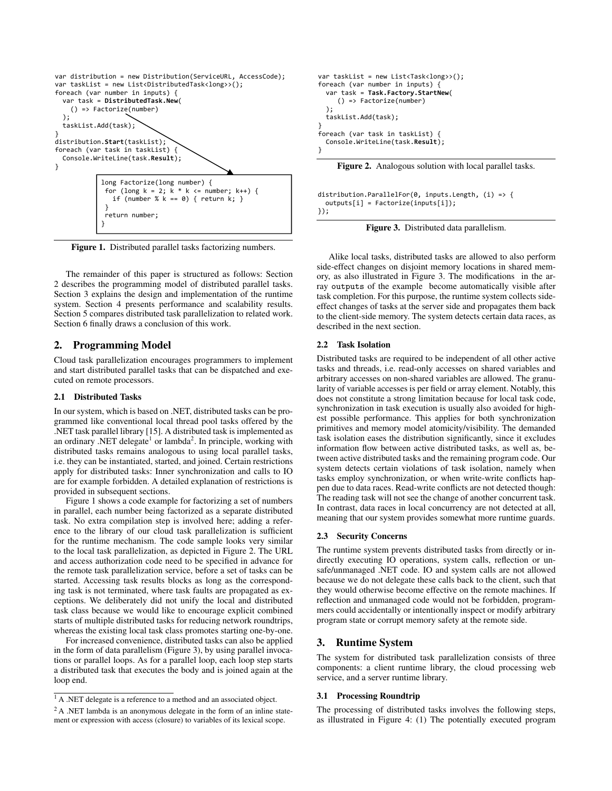

Figure 1. Distributed parallel tasks factorizing numbers.

The remainder of this paper is structured as follows: Section 2 describes the programming model of distributed parallel tasks. Section 3 explains the design and implementation of the runtime system. Section 4 presents performance and scalability results. Section 5 compares distributed task parallelization to related work. Section 6 finally draws a conclusion of this work.

# 2. Programming Model

Cloud task parallelization encourages programmers to implement and start distributed parallel tasks that can be dispatched and executed on remote processors.

#### 2.1 Distributed Tasks

In our system, which is based on .NET, distributed tasks can be programmed like conventional local thread pool tasks offered by the .NET task parallel library [15]. A distributed task is implemented as an ordinary .NET delegate<sup>1</sup> or lambda<sup>2</sup>. In principle, working with distributed tasks remains analogous to using local parallel tasks, i.e. they can be instantiated, started, and joined. Certain restrictions apply for distributed tasks: Inner synchronization and calls to IO are for example forbidden. A detailed explanation of restrictions is provided in subsequent sections.

Figure 1 shows a code example for factorizing a set of numbers in parallel, each number being factorized as a separate distributed task. No extra compilation step is involved here; adding a reference to the library of our cloud task parallelization is sufficient for the runtime mechanism. The code sample looks very similar to the local task parallelization, as depicted in Figure 2. The URL and access authorization code need to be specified in advance for the remote task parallelization service, before a set of tasks can be started. Accessing task results blocks as long as the corresponding task is not terminated, where task faults are propagated as exceptions. We deliberately did not unify the local and distributed task class because we would like to encourage explicit combined starts of multiple distributed tasks for reducing network roundtrips, whereas the existing local task class promotes starting one-by-one.

For increased convenience, distributed tasks can also be applied in the form of data parallelism (Figure 3), by using parallel invocations or parallel loops. As for a parallel loop, each loop step starts a distributed task that executes the body and is joined again at the loop end.

```
var taskList = new List<Task<long>>(); 
foreach (var number in inputs) { 
   var task = Task.Factory.StartNew( 
      () => Factorize(number) 
   ); 
   taskList.Add(task); 
} 
foreach (var task in taskList) { 
   Console.WriteLine(task.Result); 
}
```
Figure 2. Analogous solution with local parallel tasks.

distribution.ParallelFor(0, inputs.Length, (i) => { outputs[i] = Factorize(inputs[i]); });

Figure 3. Distributed data parallelism.

Alike local tasks, distributed tasks are allowed to also perform side-effect changes on disjoint memory locations in shared memory, as also illustrated in Figure 3. The modifications in the array outputs of the example become automatically visible after task completion. For this purpose, the runtime system collects sideeffect changes of tasks at the server side and propagates them back to the client-side memory. The system detects certain data races, as described in the next section.

### 2.2 Task Isolation

Distributed tasks are required to be independent of all other active tasks and threads, i.e. read-only accesses on shared variables and arbitrary accesses on non-shared variables are allowed. The granularity of variable accesses is per field or array element. Notably, this does not constitute a strong limitation because for local task code, synchronization in task execution is usually also avoided for highest possible performance. This applies for both synchronization primitives and memory model atomicity/visibility. The demanded task isolation eases the distribution significantly, since it excludes information flow between active distributed tasks, as well as, between active distributed tasks and the remaining program code. Our system detects certain violations of task isolation, namely when tasks employ synchronization, or when write-write conflicts happen due to data races. Read-write conflicts are not detected though: The reading task will not see the change of another concurrent task. In contrast, data races in local concurrency are not detected at all, meaning that our system provides somewhat more runtime guards.

## 2.3 Security Concerns

The runtime system prevents distributed tasks from directly or indirectly executing IO operations, system calls, reflection or unsafe/unmanaged .NET code. IO and system calls are not allowed because we do not delegate these calls back to the client, such that they would otherwise become effective on the remote machines. If reflection and unmanaged code would not be forbidden, programmers could accidentally or intentionally inspect or modify arbitrary program state or corrupt memory safety at the remote side.

## **Runtime System**

The system for distributed task parallelization consists of three components: a client runtime library, the cloud processing web service, and a server runtime library.

## 3.1 Processing Roundtrip

The processing of distributed tasks involves the following steps, as illustrated in Figure 4: (1) The potentially executed program

<sup>&</sup>lt;sup>1</sup> A .NET delegate is a reference to a method and an associated object.

<sup>&</sup>lt;sup>2</sup>A .NET lambda is an anonymous delegate in the form of an inline statement or expression with access (closure) to variables of its lexical scope.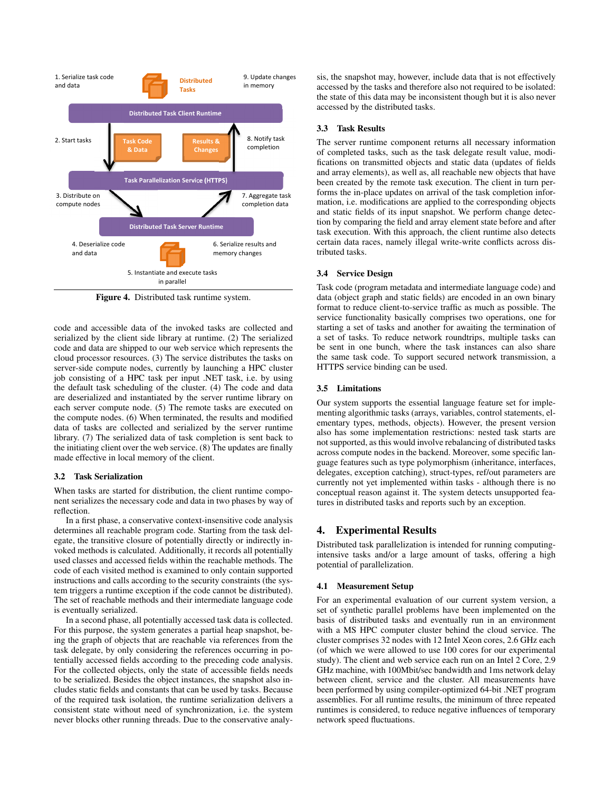

Figure 4. Distributed task runtime system.

code and accessible data of the invoked tasks are collected and serialized by the client side library at runtime. (2) The serialized code and data are shipped to our web service which represents the cloud processor resources. (3) The service distributes the tasks on server-side compute nodes, currently by launching a HPC cluster job consisting of a HPC task per input .NET task, i.e. by using the default task scheduling of the cluster. (4) The code and data are deserialized and instantiated by the server runtime library on each server compute node. (5) The remote tasks are executed on the compute nodes. (6) When terminated, the results and modified data of tasks are collected and serialized by the server runtime library. (7) The serialized data of task completion is sent back to the initiating client over the web service. (8) The updates are finally made effective in local memory of the client.

#### 3.2 Task Serialization

When tasks are started for distribution, the client runtime component serializes the necessary code and data in two phases by way of reflection.

In a first phase, a conservative context-insensitive code analysis determines all reachable program code. Starting from the task delegate, the transitive closure of potentially directly or indirectly invoked methods is calculated. Additionally, it records all potentially used classes and accessed fields within the reachable methods. The code of each visited method is examined to only contain supported instructions and calls according to the security constraints (the system triggers a runtime exception if the code cannot be distributed). The set of reachable methods and their intermediate language code is eventually serialized.

In a second phase, all potentially accessed task data is collected. For this purpose, the system generates a partial heap snapshot, being the graph of objects that are reachable via references from the task delegate, by only considering the references occurring in potentially accessed fields according to the preceding code analysis. For the collected objects, only the state of accessible fields needs to be serialized. Besides the object instances, the snapshot also includes static fields and constants that can be used by tasks. Because of the required task isolation, the runtime serialization delivers a consistent state without need of synchronization, i.e. the system never blocks other running threads. Due to the conservative analysis, the snapshot may, however, include data that is not effectively accessed by the tasks and therefore also not required to be isolated: the state of this data may be inconsistent though but it is also never accessed by the distributed tasks.

#### 3.3 Task Results

The server runtime component returns all necessary information of completed tasks, such as the task delegate result value, modifications on transmitted objects and static data (updates of fields and array elements), as well as, all reachable new objects that have been created by the remote task execution. The client in turn performs the in-place updates on arrival of the task completion information, i.e. modifications are applied to the corresponding objects and static fields of its input snapshot. We perform change detection by comparing the field and array element state before and after task execution. With this approach, the client runtime also detects certain data races, namely illegal write-write conflicts across distributed tasks.

## 3.4 Service Design

Task code (program metadata and intermediate language code) and data (object graph and static fields) are encoded in an own binary format to reduce client-to-service traffic as much as possible. The service functionality basically comprises two operations, one for starting a set of tasks and another for awaiting the termination of a set of tasks. To reduce network roundtrips, multiple tasks can be sent in one bunch, where the task instances can also share the same task code. To support secured network transmission, a HTTPS service binding can be used.

## 3.5 Limitations

Our system supports the essential language feature set for implementing algorithmic tasks (arrays, variables, control statements, elementary types, methods, objects). However, the present version also has some implementation restrictions: nested task starts are not supported, as this would involve rebalancing of distributed tasks across compute nodes in the backend. Moreover, some specific language features such as type polymorphism (inheritance, interfaces, delegates, exception catching), struct-types, ref/out parameters are currently not yet implemented within tasks - although there is no conceptual reason against it. The system detects unsupported features in distributed tasks and reports such by an exception.

## 4. Experimental Results

Distributed task parallelization is intended for running computingintensive tasks and/or a large amount of tasks, offering a high potential of parallelization.

#### 4.1 Measurement Setup

For an experimental evaluation of our current system version, a set of synthetic parallel problems have been implemented on the basis of distributed tasks and eventually run in an environment with a MS HPC computer cluster behind the cloud service. The cluster comprises 32 nodes with 12 Intel Xeon cores, 2.6 GHz each (of which we were allowed to use 100 cores for our experimental study). The client and web service each run on an Intel 2 Core, 2.9 GHz machine, with 100Mbit/sec bandwidth and 1ms network delay between client, service and the cluster. All measurements have been performed by using compiler-optimized 64-bit .NET program assemblies. For all runtime results, the minimum of three repeated runtimes is considered, to reduce negative influences of temporary network speed fluctuations.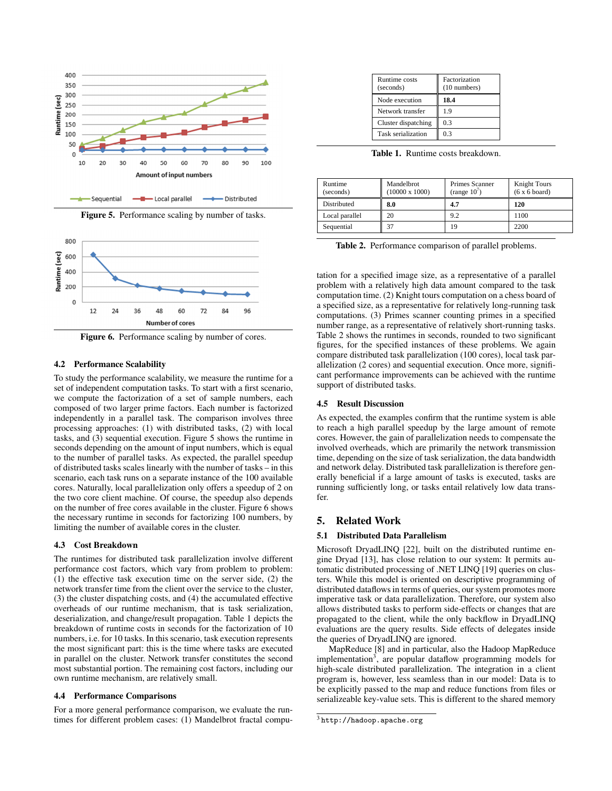

Figure 5. Performance scaling by number of tasks.



Figure 6. Performance scaling by number of cores.

#### 4.2 Performance Scalability

To study the performance scalability, we measure the runtime for a set of independent computation tasks. To start with a first scenario, we compute the factorization of a set of sample numbers, each composed of two larger prime factors. Each number is factorized independently in a parallel task. The comparison involves three processing approaches: (1) with distributed tasks, (2) with local tasks, and (3) sequential execution. Figure 5 shows the runtime in seconds depending on the amount of input numbers, which is equal to the number of parallel tasks. As expected, the parallel speedup of distributed tasks scales linearly with the number of tasks – in this scenario, each task runs on a separate instance of the 100 available cores. Naturally, local parallelization only offers a speedup of 2 on the two core client machine. Of course, the speedup also depends on the number of free cores available in the cluster. Figure 6 shows the necessary runtime in seconds for factorizing 100 numbers, by limiting the number of available cores in the cluster.

#### 4.3 Cost Breakdown

The runtimes for distributed task parallelization involve different performance cost factors, which vary from problem to problem: (1) the effective task execution time on the server side, (2) the network transfer time from the client over the service to the cluster, (3) the cluster dispatching costs, and (4) the accumulated effective overheads of our runtime mechanism, that is task serialization, deserialization, and change/result propagation. Table 1 depicts the breakdown of runtime costs in seconds for the factorization of 10 numbers, i.e. for 10 tasks. In this scenario, task execution represents the most significant part: this is the time where tasks are executed in parallel on the cluster. Network transfer constitutes the second most substantial portion. The remaining cost factors, including our own runtime mechanism, are relatively small.

#### 4.4 Performance Comparisons

For a more general performance comparison, we evaluate the runtimes for different problem cases: (1) Mandelbrot fractal compu-

| Runtime costs<br>(seconds) | Factorization<br>$(10 \text{ numbers})$ |  |
|----------------------------|-----------------------------------------|--|
| Node execution             | 18.4                                    |  |
| Network transfer           | 1.9                                     |  |
| Cluster dispatching        | 0.3                                     |  |
| Task serialization         | 0.3                                     |  |

Table 1. Runtime costs breakdown.

| Runtime<br>(seconds) | Mandelbrot<br>$(10000 \times 1000)$ | Primes Scanner<br>(range $10^7$ ) | <b>Knight Tours</b><br>$(6 \times 6 \text{ board})$ |
|----------------------|-------------------------------------|-----------------------------------|-----------------------------------------------------|
| Distributed          | 8.0                                 | 4.7                               | 120                                                 |
| Local parallel       | 20                                  | 9.2                               | 1100                                                |
| Sequential           |                                     | 19                                | 2200                                                |

Table 2. Performance comparison of parallel problems.

tation for a specified image size, as a representative of a parallel problem with a relatively high data amount compared to the task computation time. (2) Knight tours computation on a chess board of a specified size, as a representative for relatively long-running task computations. (3) Primes scanner counting primes in a specified number range, as a representative of relatively short-running tasks. Table 2 shows the runtimes in seconds, rounded to two significant figures, for the specified instances of these problems. We again compare distributed task parallelization (100 cores), local task parallelization (2 cores) and sequential execution. Once more, significant performance improvements can be achieved with the runtime support of distributed tasks.

#### 4.5 Result Discussion

As expected, the examples confirm that the runtime system is able to reach a high parallel speedup by the large amount of remote cores. However, the gain of parallelization needs to compensate the involved overheads, which are primarily the network transmission time, depending on the size of task serialization, the data bandwidth and network delay. Distributed task parallelization is therefore generally beneficial if a large amount of tasks is executed, tasks are running sufficiently long, or tasks entail relatively low data transfer.

## 5. Related Work

## 5.1 Distributed Data Parallelism

Microsoft DryadLINQ [22], built on the distributed runtime engine Dryad [13], has close relation to our system: It permits automatic distributed processing of .NET LINQ [19] queries on clusters. While this model is oriented on descriptive programming of distributed dataflows in terms of queries, our system promotes more imperative task or data parallelization. Therefore, our system also allows distributed tasks to perform side-effects or changes that are propagated to the client, while the only backflow in DryadLINQ evaluations are the query results. Side effects of delegates inside the queries of DryadLINQ are ignored.

MapReduce [8] and in particular, also the Hadoop MapReduce implementation<sup>3</sup>, are popular dataflow programming models for high-scale distributed parallelization. The integration in a client program is, however, less seamless than in our model: Data is to be explicitly passed to the map and reduce functions from files or serializeable key-value sets. This is different to the shared memory

<sup>3</sup> http://hadoop.apache.org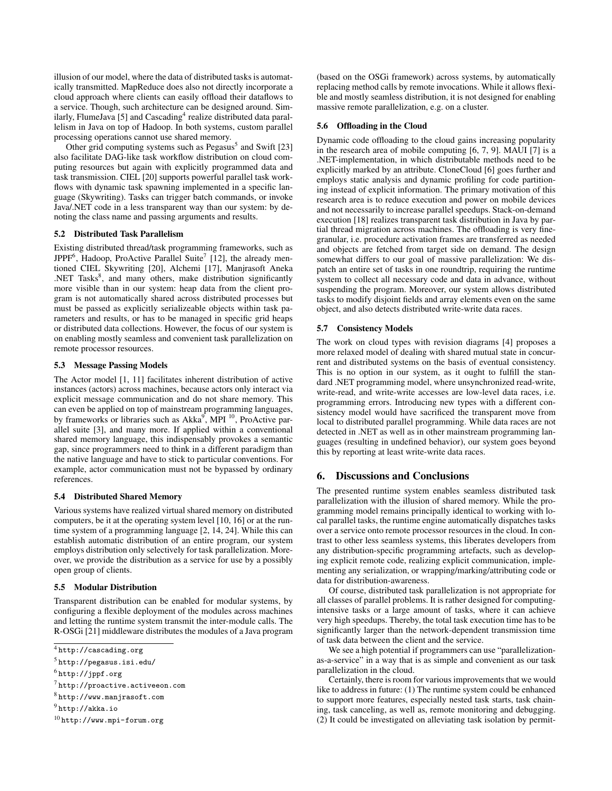illusion of our model, where the data of distributed tasks is automatically transmitted. MapReduce does also not directly incorporate a cloud approach where clients can easily offload their dataflows to a service. Though, such architecture can be designed around. Similarly, FlumeJava [5] and Cascading<sup>4</sup> realize distributed data parallelism in Java on top of Hadoop. In both systems, custom parallel processing operations cannot use shared memory.

Other grid computing systems such as Pegasus<sup>5</sup> and Swift [23] also facilitate DAG-like task workflow distribution on cloud computing resources but again with explicitly programmed data and task transmission. CIEL [20] supports powerful parallel task workflows with dynamic task spawning implemented in a specific language (Skywriting). Tasks can trigger batch commands, or invoke Java/.NET code in a less transparent way than our system: by denoting the class name and passing arguments and results.

## 5.2 Distributed Task Parallelism

Existing distributed thread/task programming frameworks, such as JPPF<sup>6</sup>, Hadoop, ProActive Parallel Suite<sup>7</sup> [12], the already mentioned CIEL Skywriting [20], Alchemi [17], Manjrasoft Aneka .NET Tasks<sup>8</sup>, and many others, make distribution significantly more visible than in our system: heap data from the client program is not automatically shared across distributed processes but must be passed as explicitly serializeable objects within task parameters and results, or has to be managed in specific grid heaps or distributed data collections. However, the focus of our system is on enabling mostly seamless and convenient task parallelization on remote processor resources.

#### 5.3 Message Passing Models

The Actor model [1, 11] facilitates inherent distribution of active instances (actors) across machines, because actors only interact via explicit message communication and do not share memory. This can even be applied on top of mainstream programming languages, by frameworks or libraries such as Akka<sup>9</sup>, MPI<sup>10</sup>, ProActive parallel suite [3], and many more. If applied within a conventional shared memory language, this indispensably provokes a semantic gap, since programmers need to think in a different paradigm than the native language and have to stick to particular conventions. For example, actor communication must not be bypassed by ordinary references.

#### 5.4 Distributed Shared Memory

Various systems have realized virtual shared memory on distributed computers, be it at the operating system level [10, 16] or at the runtime system of a programming language [2, 14, 24]. While this can establish automatic distribution of an entire program, our system employs distribution only selectively for task parallelization. Moreover, we provide the distribution as a service for use by a possibly open group of clients.

#### 5.5 Modular Distribution

Transparent distribution can be enabled for modular systems, by configuring a flexible deployment of the modules across machines and letting the runtime system transmit the inter-module calls. The R-OSGi [21] middleware distributes the modules of a Java program

<sup>7</sup> http://proactive.activeeon.com

(based on the OSGi framework) across systems, by automatically replacing method calls by remote invocations. While it allows flexible and mostly seamless distribution, it is not designed for enabling massive remote parallelization, e.g. on a cluster.

## 5.6 Offloading in the Cloud

Dynamic code offloading to the cloud gains increasing popularity in the research area of mobile computing [6, 7, 9]. MAUI [7] is a .NET-implementation, in which distributable methods need to be explicitly marked by an attribute. CloneCloud [6] goes further and employs static analysis and dynamic profiling for code partitioning instead of explicit information. The primary motivation of this research area is to reduce execution and power on mobile devices and not necessarily to increase parallel speedups. Stack-on-demand execution [18] realizes transparent task distribution in Java by partial thread migration across machines. The offloading is very finegranular, i.e. procedure activation frames are transferred as needed and objects are fetched from target side on demand. The design somewhat differs to our goal of massive parallelization: We dispatch an entire set of tasks in one roundtrip, requiring the runtime system to collect all necessary code and data in advance, without suspending the program. Moreover, our system allows distributed tasks to modify disjoint fields and array elements even on the same object, and also detects distributed write-write data races.

## 5.7 Consistency Models

The work on cloud types with revision diagrams [4] proposes a more relaxed model of dealing with shared mutual state in concurrent and distributed systems on the basis of eventual consistency. This is no option in our system, as it ought to fulfill the standard .NET programming model, where unsynchronized read-write, write-read, and write-write accesses are low-level data races, i.e. programming errors. Introducing new types with a different consistency model would have sacrificed the transparent move from local to distributed parallel programming. While data races are not detected in .NET as well as in other mainstream programming languages (resulting in undefined behavior), our system goes beyond this by reporting at least write-write data races.

## 6. Discussions and Conclusions

The presented runtime system enables seamless distributed task parallelization with the illusion of shared memory. While the programming model remains principally identical to working with local parallel tasks, the runtime engine automatically dispatches tasks over a service onto remote processor resources in the cloud. In contrast to other less seamless systems, this liberates developers from any distribution-specific programming artefacts, such as developing explicit remote code, realizing explicit communication, implementing any serialization, or wrapping/marking/attributing code or data for distribution-awareness.

Of course, distributed task parallelization is not appropriate for all classes of parallel problems. It is rather designed for computingintensive tasks or a large amount of tasks, where it can achieve very high speedups. Thereby, the total task execution time has to be significantly larger than the network-dependent transmission time of task data between the client and the service.

We see a high potential if programmers can use "parallelizationas-a-service" in a way that is as simple and convenient as our task parallelization in the cloud.

Certainly, there is room for various improvements that we would like to address in future: (1) The runtime system could be enhanced to support more features, especially nested task starts, task chaining, task canceling, as well as, remote monitoring and debugging. (2) It could be investigated on alleviating task isolation by permit-

<sup>4</sup> http://cascading.org

<sup>5</sup> http://pegasus.isi.edu/

 $6$ http://jppf.org

<sup>8</sup> http://www.manjrasoft.com

<sup>9</sup> http://akka.io

<sup>10</sup> http://www.mpi-forum.org